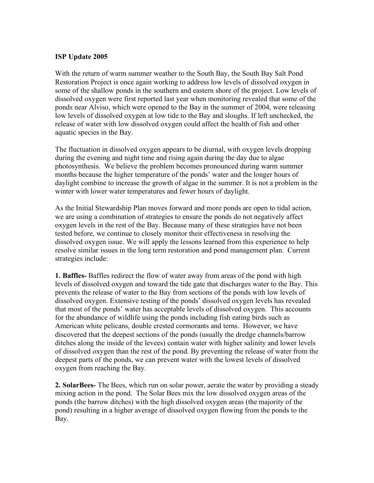## **ISP Update 2005**

With the return of warm summer weather to the South Bay, the South Bay Salt Pond Restoration Project is once again working to address low levels of dissolved oxygen in some of the shallow ponds in the southern and eastern shore of the project. Low levels of dissolved oxygen were first reported last year when monitoring revealed that some of the ponds near Alviso, which were opened to the Bay in the summer of 2004, were releasing low levels of dissolved oxygen at low tide to the Bay and sloughs. If left unchecked, the release of water with low dissolved oxygen could affect the health of fish and other aquatic species in the Bay.

The fluctuation in dissolved oxygen appears to be diurnal, with oxygen levels dropping during the evening and night time and rising again during the day due to algae photosynthesis. We believe the problem becomes pronounced during warm summer months because the higher temperature of the ponds' water and the longer hours of daylight combine to increase the growth of algae in the summer. It is not a problem in the winter with lower water temperatures and fewer hours of daylight.

As the Initial Stewardship Plan moves forward and more ponds are open to tidal action, we are using a combination of strategies to ensure the ponds do not negatively affect oxygen levels in the rest of the Bay. Because many of these strategies have not been tested before, we continue to closely monitor their effectiveness in resolving the dissolved oxygen issue. We will apply the lessons learned from this experience to help resolve similar issues in the long term restoration and pond management plan. Current strategies include:

**1. Baffles-** Baffles redirect the flow of water away from areas of the pond with high levels of dissolved oxygen and toward the tide gate that discharges water to the Bay. This prevents the release of water to the Bay from sections of the ponds with low levels of dissolved oxygen. Extensive testing of the ponds' dissolved oxygen levels has revealed that most of the ponds' water has acceptable levels of dissolved oxygen. This accounts for the abundance of wildlife using the ponds including fish eating birds such as American white pelicans, double crested cormorants and terns. However, we have discovered that the deepest sections of the ponds (usually the dredge channels/barrow ditches along the inside of the levees) contain water with higher salinity and lower levels of dissolved oxygen than the rest of the pond. By preventing the release of water from the deepest parts of the ponds, we can prevent water with the lowest levels of dissolved oxygen from reaching the Bay.

**2. SolarBees-** The Bees, which run on solar power, aerate the water by providing a steady mixing action in the pond. The Solar Bees mix the low dissolved oxygen areas of the ponds (the barrow ditches) with the high dissolved oxygen areas (the majority of the pond) resulting in a higher average of dissolved oxygen flowing from the ponds to the Bay.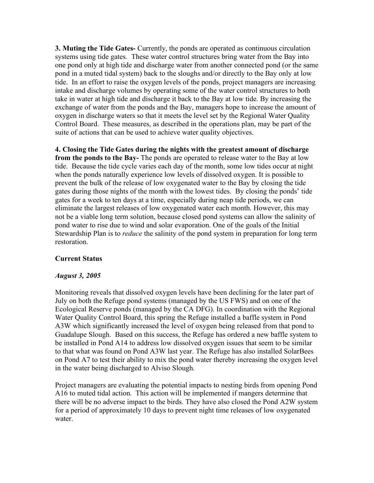**3. Muting the Tide Gates-** Currently, the ponds are operated as continuous circulation systems using tide gates. These water control structures bring water from the Bay into one pond only at high tide and discharge water from another connected pond (or the same pond in a muted tidal system) back to the sloughs and/or directly to the Bay only at low tide. In an effort to raise the oxygen levels of the ponds, project managers are increasing intake and discharge volumes by operating some of the water control structures to both take in water at high tide and discharge it back to the Bay at low tide. By increasing the exchange of water from the ponds and the Bay, managers hope to increase the amount of oxygen in discharge waters so that it meets the level set by the Regional Water Quality Control Board. These measures, as described in the operations plan, may be part of the suite of actions that can be used to achieve water quality objectives.

**4. Closing the Tide Gates during the nights with the greatest amount of discharge from the ponds to the Bay-** The ponds are operated to release water to the Bay at low tide. Because the tide cycle varies each day of the month, some low tides occur at night when the ponds naturally experience low levels of dissolved oxygen. It is possible to prevent the bulk of the release of low oxygenated water to the Bay by closing the tide gates during those nights of the month with the lowest tides. By closing the ponds' tide gates for a week to ten days at a time, especially during neap tide periods, we can eliminate the largest releases of low oxygenated water each month. However, this may not be a viable long term solution, because closed pond systems can allow the salinity of pond water to rise due to wind and solar evaporation. One of the goals of the Initial Stewardship Plan is to *reduce* the salinity of the pond system in preparation for long term restoration.

## **Current Status**

## *August 3, 2005*

Monitoring reveals that dissolved oxygen levels have been declining for the later part of July on both the Refuge pond systems (managed by the US FWS) and on one of the Ecological Reserve ponds (managed by the CA DFG). In coordination with the Regional Water Quality Control Board, this spring the Refuge installed a baffle system in Pond A3W which significantly increased the level of oxygen being released from that pond to Guadalupe Slough. Based on this success, the Refuge has ordered a new baffle system to be installed in Pond A14 to address low dissolved oxygen issues that seem to be similar to that what was found on Pond A3W last year. The Refuge has also installed SolarBees on Pond A7 to test their ability to mix the pond water thereby increasing the oxygen level in the water being discharged to Alviso Slough.

Project managers are evaluating the potential impacts to nesting birds from opening Pond A16 to muted tidal action. This action will be implemented if mangers determine that there will be no adverse impact to the birds. They have also closed the Pond A2W system for a period of approximately 10 days to prevent night time releases of low oxygenated water.